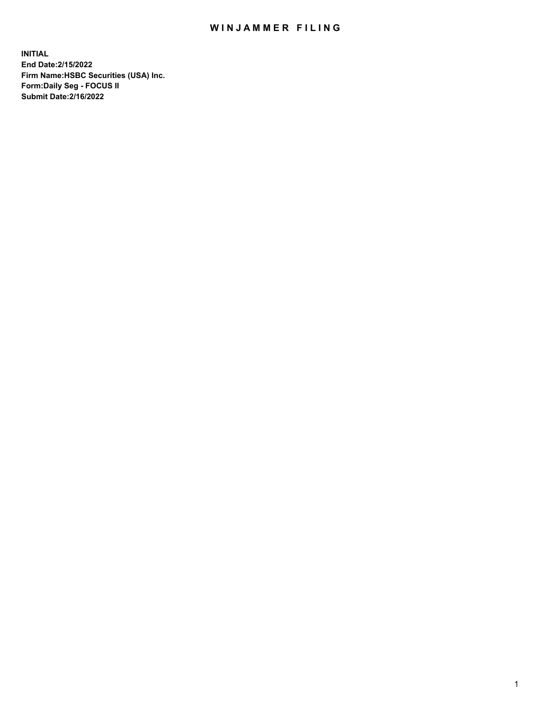## WIN JAMMER FILING

**INITIAL End Date:2/15/2022 Firm Name:HSBC Securities (USA) Inc. Form:Daily Seg - FOCUS II Submit Date:2/16/2022**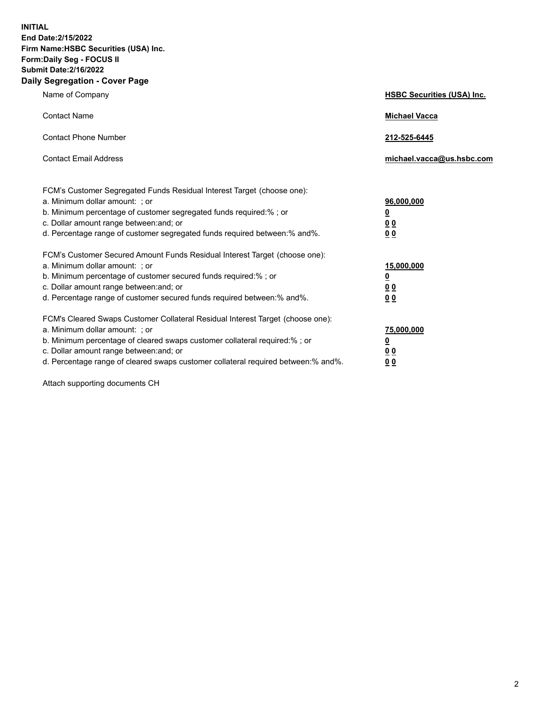**INITIAL End Date:2/15/2022 Firm Name:HSBC Securities (USA) Inc. Form:Daily Seg - FOCUS II Submit Date:2/16/2022 Daily Segregation - Cover Page**

| Name of Company                                                                                                                                                                                                                                                                                                                | <b>HSBC Securities (USA) Inc.</b>                                         |
|--------------------------------------------------------------------------------------------------------------------------------------------------------------------------------------------------------------------------------------------------------------------------------------------------------------------------------|---------------------------------------------------------------------------|
| <b>Contact Name</b>                                                                                                                                                                                                                                                                                                            | <b>Michael Vacca</b>                                                      |
| <b>Contact Phone Number</b>                                                                                                                                                                                                                                                                                                    | 212-525-6445                                                              |
| <b>Contact Email Address</b>                                                                                                                                                                                                                                                                                                   | michael.vacca@us.hsbc.com                                                 |
| FCM's Customer Segregated Funds Residual Interest Target (choose one):<br>a. Minimum dollar amount: ; or<br>b. Minimum percentage of customer segregated funds required:% ; or<br>c. Dollar amount range between: and; or<br>d. Percentage range of customer segregated funds required between:% and%.                         | 96,000,000<br>$\overline{\mathbf{0}}$<br>0 <sub>0</sub><br>0 <sub>0</sub> |
| FCM's Customer Secured Amount Funds Residual Interest Target (choose one):<br>a. Minimum dollar amount: ; or<br>b. Minimum percentage of customer secured funds required:% ; or<br>c. Dollar amount range between: and; or<br>d. Percentage range of customer secured funds required between:% and%.                           | 15,000,000<br><u>0</u><br>0 <sub>0</sub><br>00                            |
| FCM's Cleared Swaps Customer Collateral Residual Interest Target (choose one):<br>a. Minimum dollar amount: ; or<br>b. Minimum percentage of cleared swaps customer collateral required:% ; or<br>c. Dollar amount range between: and; or<br>d. Percentage range of cleared swaps customer collateral required between:% and%. | 75,000,000<br><u>0</u><br><u>00</u><br>00                                 |

Attach supporting documents CH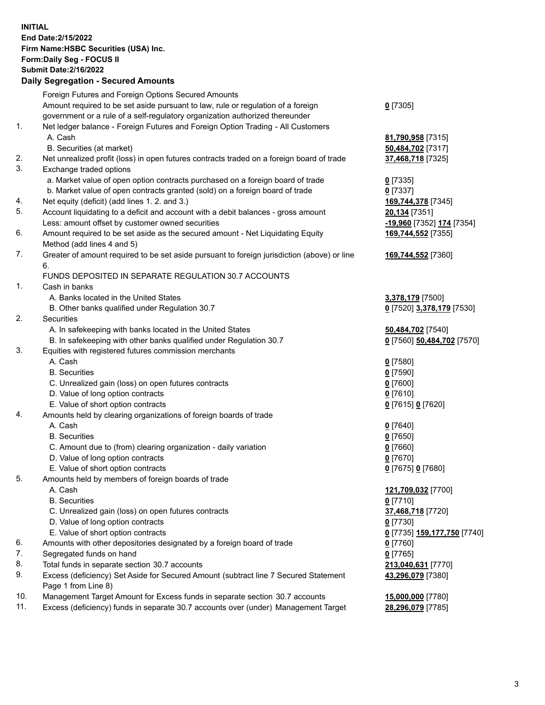**INITIAL End Date:2/15/2022 Firm Name:HSBC Securities (USA) Inc. Form:Daily Seg - FOCUS II Submit Date:2/16/2022 Daily Segregation - Secured Amounts**

Foreign Futures and Foreign Options Secured Amounts Amount required to be set aside pursuant to law, rule or regulation of a foreign government or a rule of a self-regulatory organization authorized thereunder **0** [7305] 1. Net ledger balance - Foreign Futures and Foreign Option Trading - All Customers A. Cash **81,790,958** [7315] B. Securities (at market) **50,484,702** [7317] 2. Net unrealized profit (loss) in open futures contracts traded on a foreign board of trade **37,468,718** [7325] 3. Exchange traded options a. Market value of open option contracts purchased on a foreign board of trade **0** [7335] b. Market value of open contracts granted (sold) on a foreign board of trade **0** [7337] 4. Net equity (deficit) (add lines 1. 2. and 3.) **169,744,378** [7345] 5. Account liquidating to a deficit and account with a debit balances - gross amount **20,134** [7351] Less: amount offset by customer owned securities **-19,960** [7352] **174** [7354] 6. Amount required to be set aside as the secured amount - Net Liquidating Equity Method (add lines 4 and 5) **169,744,552** [7355] 7. Greater of amount required to be set aside pursuant to foreign jurisdiction (above) or line 6. **169,744,552** [7360] FUNDS DEPOSITED IN SEPARATE REGULATION 30.7 ACCOUNTS 1. Cash in banks A. Banks located in the United States **3,378,179** [7500] B. Other banks qualified under Regulation 30.7 **0** [7520] **3,378,179** [7530] 2. Securities A. In safekeeping with banks located in the United States **50,484,702** [7540] B. In safekeeping with other banks qualified under Regulation 30.7 **0** [7560] **50,484,702** [7570] 3. Equities with registered futures commission merchants A. Cash **0** [7580] B. Securities **0** [7590] C. Unrealized gain (loss) on open futures contracts **0** [7600] D. Value of long option contracts **0** [7610] E. Value of short option contracts **0** [7615] **0** [7620] 4. Amounts held by clearing organizations of foreign boards of trade A. Cash **0** [7640] B. Securities **0** [7650] C. Amount due to (from) clearing organization - daily variation **0** [7660] D. Value of long option contracts **0** [7670] E. Value of short option contracts **0** [7675] **0** [7680] 5. Amounts held by members of foreign boards of trade A. Cash **121,709,032** [7700] B. Securities **0** [7710] C. Unrealized gain (loss) on open futures contracts **37,468,718** [7720] D. Value of long option contracts **0** [7730] E. Value of short option contracts **0** [7735] **159,177,750** [7740] 6. Amounts with other depositories designated by a foreign board of trade **0** [7760] 7. Segregated funds on hand **0** [7765] 8. Total funds in separate section 30.7 accounts **213,040,631** [7770] 9. Excess (deficiency) Set Aside for Secured Amount (subtract line 7 Secured Statement Page 1 from Line 8) **43,296,079** [7380] 10. Management Target Amount for Excess funds in separate section 30.7 accounts **15,000,000** [7780] 11. Excess (deficiency) funds in separate 30.7 accounts over (under) Management Target **28,296,079** [7785]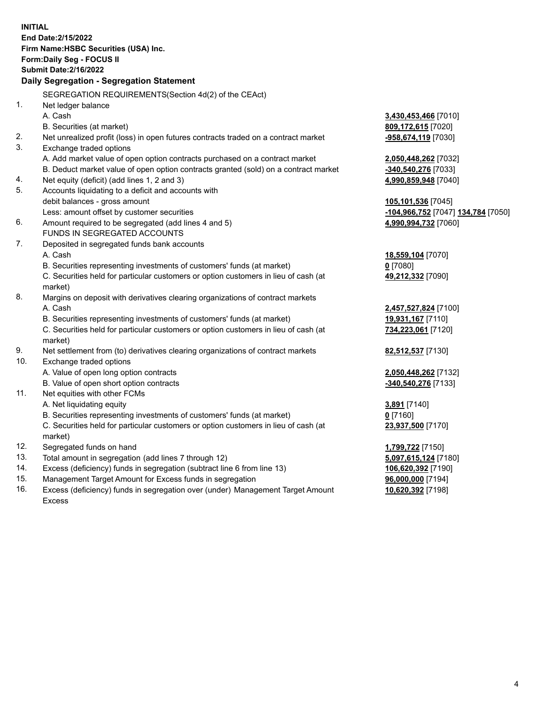**INITIAL End Date:2/15/2022 Firm Name:HSBC Securities (USA) Inc. Form:Daily Seg - FOCUS II Submit Date:2/16/2022 Daily Segregation - Segregation Statement** SEGREGATION REQUIREMENTS(Section 4d(2) of the CEAct) 1. Net ledger balance A. Cash **3,430,453,466** [7010] B. Securities (at market) **809,172,615** [7020] 2. Net unrealized profit (loss) in open futures contracts traded on a contract market **-958,674,119** [7030] 3. Exchange traded options A. Add market value of open option contracts purchased on a contract market **2,050,448,262** [7032] B. Deduct market value of open option contracts granted (sold) on a contract market **-340,540,276** [7033] 4. Net equity (deficit) (add lines 1, 2 and 3) **4,990,859,948** [7040] 5. Accounts liquidating to a deficit and accounts with debit balances - gross amount **105,101,536** [7045] Less: amount offset by customer securities **-104,966,752** [7047] **134,784** [7050] 6. Amount required to be segregated (add lines 4 and 5) **4,990,994,732** [7060] FUNDS IN SEGREGATED ACCOUNTS 7. Deposited in segregated funds bank accounts A. Cash **18,559,104** [7070] B. Securities representing investments of customers' funds (at market) **0** [7080] C. Securities held for particular customers or option customers in lieu of cash (at market) **49,212,332** [7090] 8. Margins on deposit with derivatives clearing organizations of contract markets A. Cash **2,457,527,824** [7100] B. Securities representing investments of customers' funds (at market) **19,931,167** [7110] C. Securities held for particular customers or option customers in lieu of cash (at market) **734,223,061** [7120] 9. Net settlement from (to) derivatives clearing organizations of contract markets **82,512,537** [7130] 10. Exchange traded options A. Value of open long option contracts **2,050,448,262** [7132] B. Value of open short option contracts **-340,540,276** [7133] 11. Net equities with other FCMs A. Net liquidating equity **3,891** [7140] B. Securities representing investments of customers' funds (at market) **0** [7160] C. Securities held for particular customers or option customers in lieu of cash (at market) **23,937,500** [7170] 12. Segregated funds on hand **1,799,722** [7150] 13. Total amount in segregation (add lines 7 through 12) **5,097,615,124** [7180] 14. Excess (deficiency) funds in segregation (subtract line 6 from line 13) **106,620,392** [7190] 15. Management Target Amount for Excess funds in segregation **96,000,000** [7194] 16. Excess (deficiency) funds in segregation over (under) Management Target Amount **10,620,392** [7198]

Excess